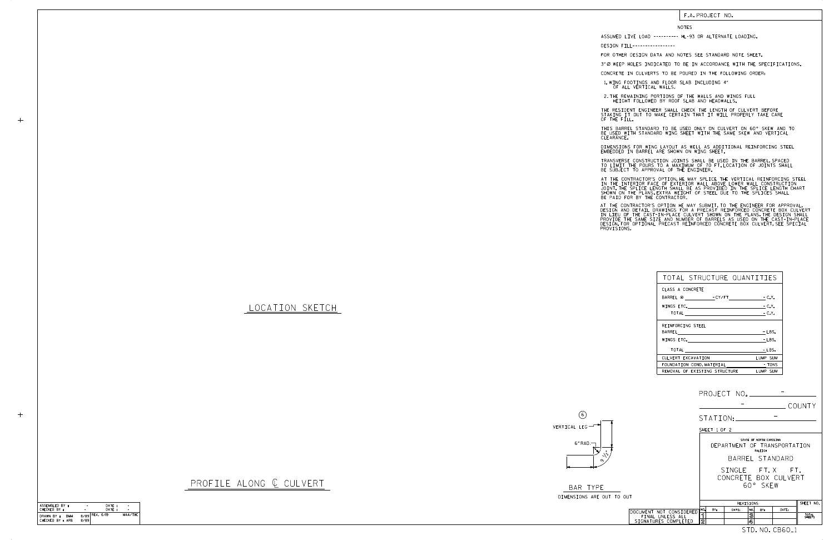| BAR TYPE           |  |  |
|--------------------|--|--|
| DIMENSIONS ARE OUT |  |  |



## PROFILE ALONG ¢ CULVERT

## F.A. PROJECT NO.

LOCATION SKETCH

 $+$ 

NOTES

DESIGN FILL-----------------

FOR OTHER DESIGN DATA AND NOTES SEE STANDARD NOTE SHEET.

3" Ø WEEP HOLES INDICATED TO BE IN ACCORDANCE WITH THE SPECIFICATIONS.

CONCRETE IN CULVERTS TO BE POURED IN THE FOLLOWING ORDER:

1.WING FOOTINGS AND FLOOR SLAB INCLUDING 4"<br>OF ALL VERTICAL WALLS.

2.THE REMAINING PORTIONS OF THE WALLS AND WINGS FULL<br>HEIGHT FOLLOWED BY ROOF SLAB AND HEADWALLS.

THE RESIDENT ENGINEER SHALL CHECK THE LENGTH OF CULVERT BEFORE<br>STAKING IT OUT TO MAKE CERTAIN THAT IT WILL PROPERLY TAKE CARE<br>OF THE FILL.

BE USED WITH STANDARD WING SHEET WITH THE SAME SKEW AND VERTICAL CLEARANCE. THIS BARREL STANDARD TO BE USED ONLY ON CULVERT ON 60° SKEW AND TO

DIMENSIONS FOR WING LAYOUT AS WELL AS ADDITIONAL REINFORCING STEEL<br>EMBEDDED IN BARREL ARE SHOWN ON WING SHEET.

TRANSVERSE CONSTRUCTION JOINTS SHALL BE USED IN THE BARREL,SPACED<br>TO LIMIT THE POURS TO A MAXIMUM OF 70 FT.LOCATION OF JOINTS SHALL<br>BE SUBJECT TO APPROVAL OF THE ENGINEER.

IN THE INTERIOR FACE OF EXTERIOR WALL ABOVE LOWER WALL CONSTRUCTION<br>JOINT.THE SPLICE LENGTH SHALL BE AS PROVIDED IN THE SPLICE LENGTH CHART<br>SHOWN ON THE PLANS.EXTRA WEIGHT OF STEEL DUE TO THE SPLICES SHALL<br>BE PAID FOR BY T AT THE CONTRACTOR'S OPTION, HE MAY SPLICE THE VERTICAL REINFORCING STEEL

AT THE CONTRACTOR'S OPTION HE MAY SUBMIT, TO THE ENGINEER FOR APPROVAL,<br>DESIGN AND DETAIL DRAWINGS FOR A PRECAST REINFORCED CONCRETE BOX CULVERT<br>IN LIEU OF THE CAST-IN-PLACE CULVERT SHOWN ON THE PLANS.THE DESIGN SHALL<br>PROV

60° SKEW CONCRETE BOX CULVERT SINGLE FT.X FT.

TO OUT STD. NO. CB60\_1 BY: DATE: NO. BY: DATE: REVISIONS SHEET NO. TOTAL SHEETS 1 <u>2</u> 3 DOCUMENT NOT CONSIDERED **1999 1999 1999 1999**<br>FINAL UNLESS ALL<br>SIGNATURES COMPLETED 2

| PROJECT NO. |        |
|-------------|--------|
|             | COUNTY |

| TOTAL STRUCTURE QUANTITIES    |          |
|-------------------------------|----------|
| CLASS A CONCRETE              |          |
|                               |          |
|                               | $-C.Y.$  |
|                               | $-C.Y.$  |
| REINFORCING STEEL             |          |
| BARREL                        | $-LBS.$  |
| WINGS ETC.                    | - LBS.   |
| TOTAL <b>ACCOMPTER</b>        | $-LBS.$  |
| CULVERT EXCAVATION            | LUMP SUM |
| FOUNDATION COND. MATERIAL     | TONS -   |
| REMOVAL OF EXISTING STRUCTURE | LUMP SUM |

ASSUMED LIVE LOAD ---------- HL-93 OR ALTERNATE LOADING.

SHEET 1 OF 2

BARREL STANDARD STATE OF NORTH CAROLINA RALEIGH DEPARTMENT OF TRANSPORTATION

| ASSEMBLED BY :           |                  | DATE: |         |
|--------------------------|------------------|-------|---------|
| CHECKED BY :             |                  | DATE: |         |
| DRAWN BY :<br><b>BMM</b> | $8/89$ REV. 6/19 |       | MAA/THC |
| CHECKED BY : ARB         | 8/89             |       |         |



STATION:

-